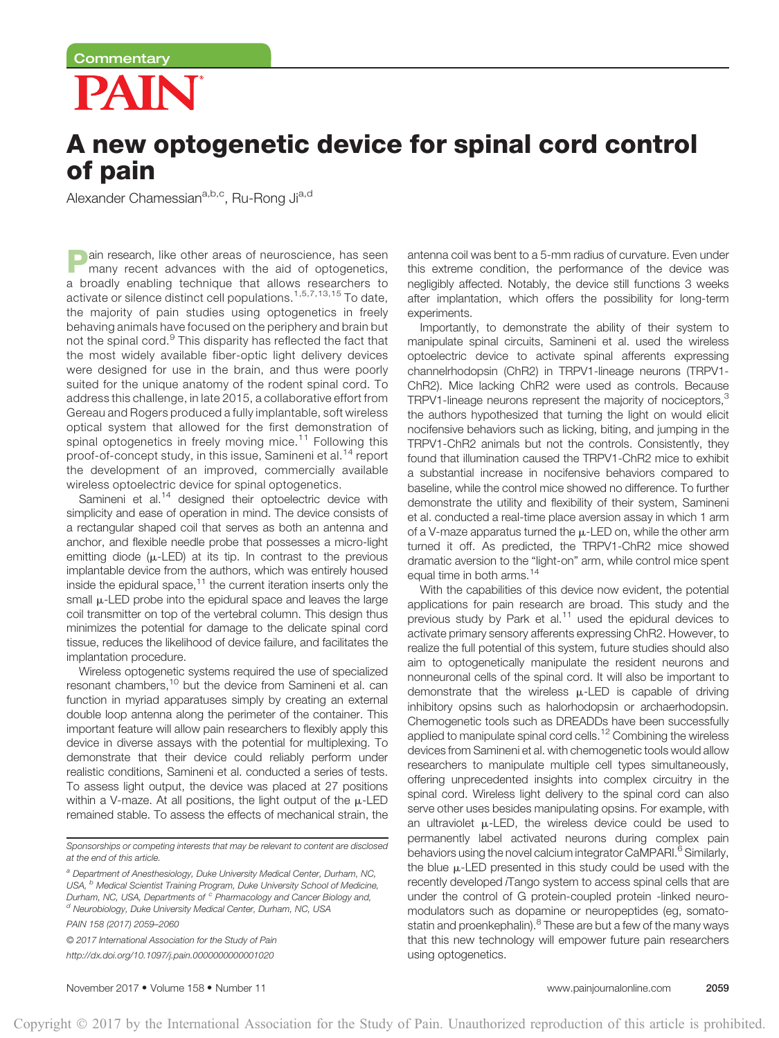# PAIN

# A new optogenetic device for spinal cord control of pain

Alexander Chamessian<sup>a,b,c</sup>, Ru-Rong Ji<sup>a,d</sup>

**Pain research, like other areas of neuroscience, has seen many recent advances with the aid of optogenetics,** a broadly enabling technique that allows researchers to activate or silence distinct cell populations.1,5,7,13,15 To date, the majority of pain studies using optogenetics in freely behaving animals have focused on the periphery and brain but not the spinal cord.<sup>9</sup> This disparity has reflected the fact that the most widely available fiber-optic light delivery devices were designed for use in the brain, and thus were poorly suited for the unique anatomy of the rodent spinal cord. To address this challenge, in late 2015, a collaborative effort from Gereau and Rogers produced a fully implantable, soft wireless optical system that allowed for the first demonstration of spinal optogenetics in freely moving mice.<sup>11</sup> Following this proof-of-concept study, in this issue, Samineni et al.<sup>14</sup> report the development of an improved, commercially available wireless optoelectric device for spinal optogenetics.

Samineni et al. $14$  designed their optoelectric device with simplicity and ease of operation in mind. The device consists of a rectangular shaped coil that serves as both an antenna and anchor, and flexible needle probe that possesses a micro-light emitting diode  $(\mu$ -LED) at its tip. In contrast to the previous implantable device from the authors, which was entirely housed inside the epidural space, $11$  the current iteration inserts only the small  $\mu$ -LED probe into the epidural space and leaves the large coil transmitter on top of the vertebral column. This design thus minimizes the potential for damage to the delicate spinal cord tissue, reduces the likelihood of device failure, and facilitates the implantation procedure.

Wireless optogenetic systems required the use of specialized resonant chambers,<sup>10</sup> but the device from Samineni et al. can function in myriad apparatuses simply by creating an external double loop antenna along the perimeter of the container. This important feature will allow pain researchers to flexibly apply this device in diverse assays with the potential for multiplexing. To demonstrate that their device could reliably perform under realistic conditions, Samineni et al. conducted a series of tests. To assess light output, the device was placed at 27 positions within a V-maze. At all positions, the light output of the  $\mu$ -LED remained stable. To assess the effects of mechanical strain, the

Sponsorships or competing interests that may be relevant to content are disclosed at the end of this article.

<sup>a</sup> Department of Anesthesiology, Duke University Medical Center, Durham, NC, USA, <sup>b</sup> Medical Scientist Training Program, Duke University School of Medicine, Durham, NC, USA, Departments of <sup>c</sup> Pharmacology and Cancer Biology and, <sup>d</sup> Neurobiology, Duke University Medical Center, Durham, NC, USA

PAIN 158 (2017) 2059–2060

© 2017 International Association for the Study of Pain <http://dx.doi.org/10.1097/j.pain.0000000000001020>

antenna coil was bent to a 5-mm radius of curvature. Even under this extreme condition, the performance of the device was negligibly affected. Notably, the device still functions 3 weeks after implantation, which offers the possibility for long-term experiments.

Importantly, to demonstrate the ability of their system to manipulate spinal circuits, Samineni et al. used the wireless optoelectric device to activate spinal afferents expressing channelrhodopsin (ChR2) in TRPV1-lineage neurons (TRPV1- ChR2). Mice lacking ChR2 were used as controls. Because TRPV1-lineage neurons represent the majority of nociceptors,<sup>3</sup> the authors hypothesized that turning the light on would elicit nocifensive behaviors such as licking, biting, and jumping in the TRPV1-ChR2 animals but not the controls. Consistently, they found that illumination caused the TRPV1-ChR2 mice to exhibit a substantial increase in nocifensive behaviors compared to baseline, while the control mice showed no difference. To further demonstrate the utility and flexibility of their system, Samineni et al. conducted a real-time place aversion assay in which 1 arm of a V-maze apparatus turned the  $\mu$ -LED on, while the other arm turned it off. As predicted, the TRPV1-ChR2 mice showed dramatic aversion to the "light-on" arm, while control mice spent equal time in both arms.<sup>14</sup>

With the capabilities of this device now evident, the potential applications for pain research are broad. This study and the previous study by Park et al. $<sup>11</sup>$  used the epidural devices to</sup> activate primary sensory afferents expressing ChR2. However, to realize the full potential of this system, future studies should also aim to optogenetically manipulate the resident neurons and nonneuronal cells of the spinal cord. It will also be important to demonstrate that the wireless  $\mu$ -LED is capable of driving inhibitory opsins such as halorhodopsin or archaerhodopsin. Chemogenetic tools such as DREADDs have been successfully applied to manipulate spinal cord cells.<sup>12</sup> Combining the wireless devices from Samineni et al. with chemogenetic tools would allow researchers to manipulate multiple cell types simultaneously, offering unprecedented insights into complex circuitry in the spinal cord. Wireless light delivery to the spinal cord can also serve other uses besides manipulating opsins. For example, with an ultraviolet  $\mu$ -LED, the wireless device could be used to permanently label activated neurons during complex pain behaviors using the novel calcium integrator CaMPARI.<sup>6</sup> Similarly, the blue  $\mu$ -LED presented in this study could be used with the recently developed *i*Tango system to access spinal cells that are under the control of G protein-coupled protein -linked neuromodulators such as dopamine or neuropeptides (eg, somatostatin and proenkephalin).<sup>8</sup> These are but a few of the many ways that this new technology will empower future pain researchers using optogenetics.

November 2017 • Volume 158 • Number 11 **and the control of the control of the control of the control of the control of the control of the control of the control of the control of the control of the control of the control o**